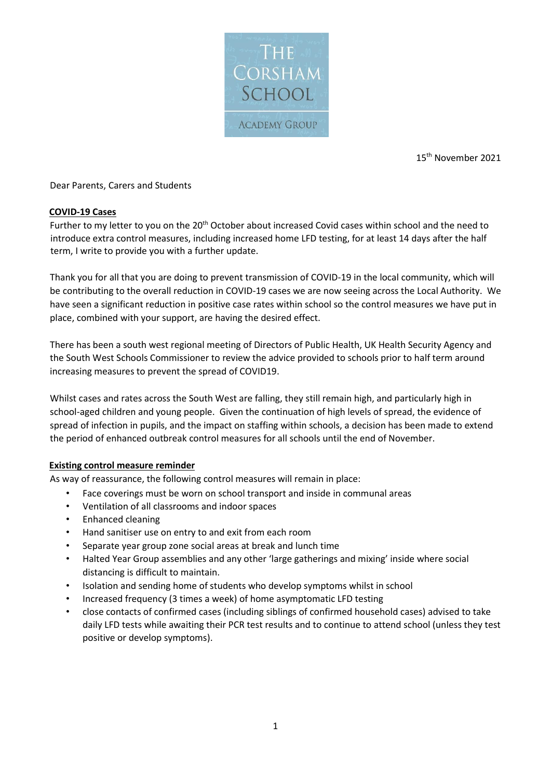

15th November 2021

### Dear Parents, Carers and Students

#### **COVID-19 Cases**

Further to my letter to you on the 20<sup>th</sup> October about increased Covid cases within school and the need to introduce extra control measures, including increased home LFD testing, for at least 14 days after the half term, I write to provide you with a further update.

Thank you for all that you are doing to prevent transmission of COVID-19 in the local community, which will be contributing to the overall reduction in COVID-19 cases we are now seeing across the Local Authority. We have seen a significant reduction in positive case rates within school so the control measures we have put in place, combined with your support, are having the desired effect.

There has been a south west regional meeting of Directors of Public Health, UK Health Security Agency and the South West Schools Commissioner to review the advice provided to schools prior to half term around increasing measures to prevent the spread of COVID19.

Whilst cases and rates across the South West are falling, they still remain high, and particularly high in school-aged children and young people. Given the continuation of high levels of spread, the evidence of spread of infection in pupils, and the impact on staffing within schools, a decision has been made to extend the period of enhanced outbreak control measures for all schools until the end of November.

#### **Existing control measure reminder**

As way of reassurance, the following control measures will remain in place:

- Face coverings must be worn on school transport and inside in communal areas
- Ventilation of all classrooms and indoor spaces
- Enhanced cleaning
- Hand sanitiser use on entry to and exit from each room
- Separate year group zone social areas at break and lunch time
- Halted Year Group assemblies and any other 'large gatherings and mixing' inside where social distancing is difficult to maintain.
- Isolation and sending home of students who develop symptoms whilst in school
- Increased frequency (3 times a week) of home asymptomatic LFD testing
- close contacts of confirmed cases (including siblings of confirmed household cases) advised to take daily LFD tests while awaiting their PCR test results and to continue to attend school (unless they test positive or develop symptoms).